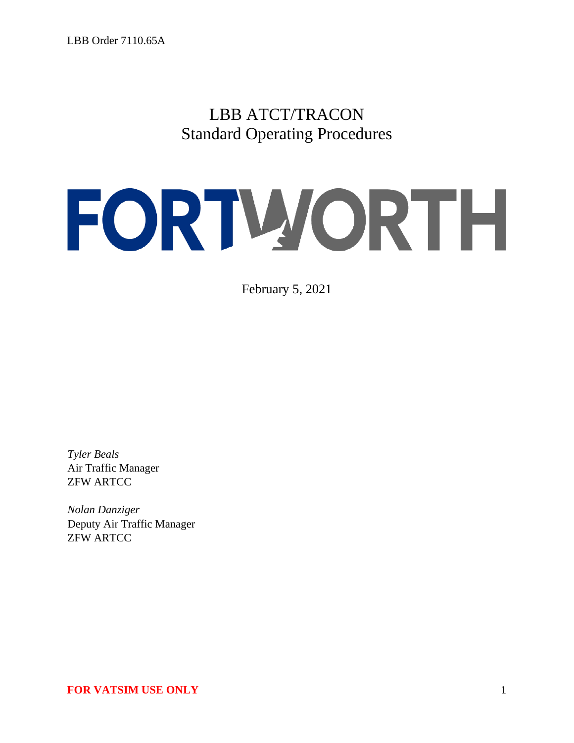## LBB ATCT/TRACON Standard Operating Procedures

# FORTWORTH

February 5, 2021

*Tyler Beals* Air Traffic Manager ZFW ARTCC

*Nolan Danziger* Deputy Air Traffic Manager ZFW ARTCC

**FOR VATSIM USE ONLY** 1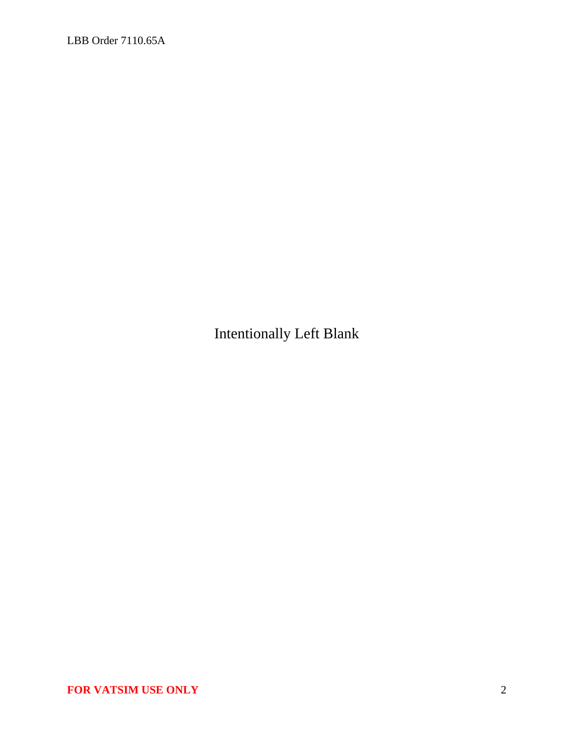LBB Order 7110.65A

Intentionally Left Blank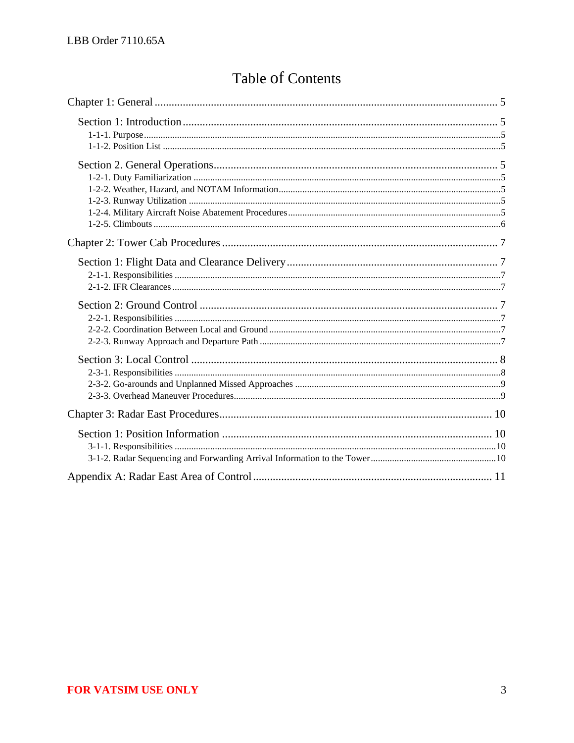## **Table of Contents**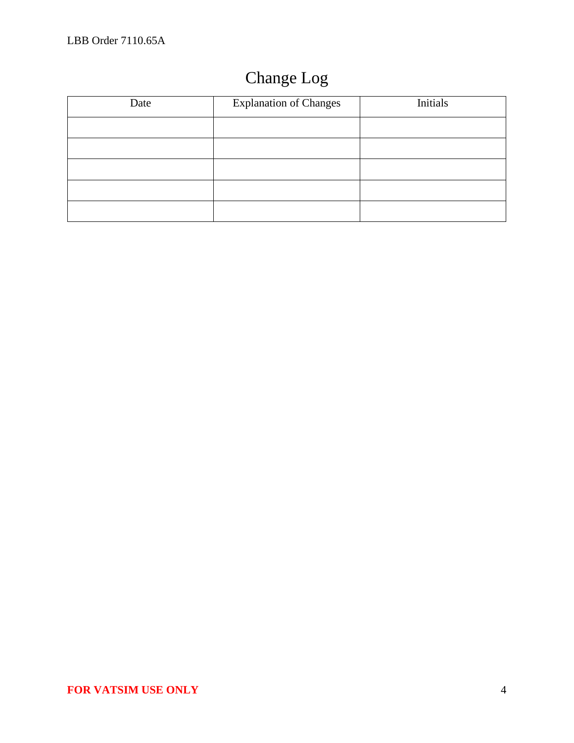# Change Log

| Date | <b>Explanation of Changes</b> | <b>Initials</b> |
|------|-------------------------------|-----------------|
|      |                               |                 |
|      |                               |                 |
|      |                               |                 |
|      |                               |                 |
|      |                               |                 |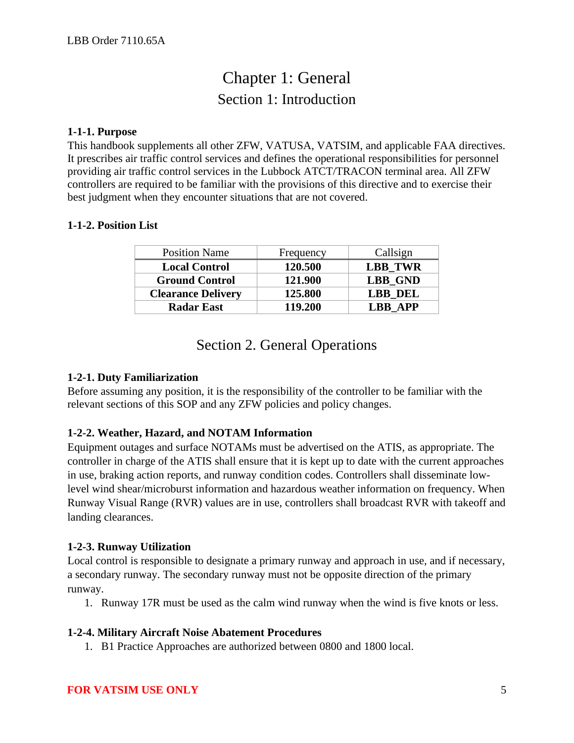## Chapter 1: General Section 1: Introduction

#### <span id="page-4-2"></span><span id="page-4-1"></span><span id="page-4-0"></span>**1-1-1. Purpose**

This handbook supplements all other ZFW, VATUSA, VATSIM, and applicable FAA directives. It prescribes air traffic control services and defines the operational responsibilities for personnel providing air traffic control services in the Lubbock ATCT/TRACON terminal area. All ZFW controllers are required to be familiar with the provisions of this directive and to exercise their best judgment when they encounter situations that are not covered.

#### <span id="page-4-3"></span>**1-1-2. Position List**

| <b>Position Name</b>      | Frequency | Callsign       |
|---------------------------|-----------|----------------|
| <b>Local Control</b>      | 120.500   | <b>LBB TWR</b> |
| <b>Ground Control</b>     | 121.900   | LBB GND        |
| <b>Clearance Delivery</b> | 125.800   | LBB DEL        |
| <b>Radar East</b>         | 119.200   | LBB APP        |

### Section 2. General Operations

#### <span id="page-4-5"></span><span id="page-4-4"></span>**1-2-1. Duty Familiarization**

Before assuming any position, it is the responsibility of the controller to be familiar with the relevant sections of this SOP and any ZFW policies and policy changes.

#### <span id="page-4-6"></span>**1-2-2. Weather, Hazard, and NOTAM Information**

Equipment outages and surface NOTAMs must be advertised on the ATIS, as appropriate. The controller in charge of the ATIS shall ensure that it is kept up to date with the current approaches in use, braking action reports, and runway condition codes. Controllers shall disseminate lowlevel wind shear/microburst information and hazardous weather information on frequency. When Runway Visual Range (RVR) values are in use, controllers shall broadcast RVR with takeoff and landing clearances.

#### <span id="page-4-7"></span>**1-2-3. Runway Utilization**

Local control is responsible to designate a primary runway and approach in use, and if necessary, a secondary runway. The secondary runway must not be opposite direction of the primary runway.

1. Runway 17R must be used as the calm wind runway when the wind is five knots or less.

#### <span id="page-4-8"></span>**1-2-4. Military Aircraft Noise Abatement Procedures**

1. B1 Practice Approaches are authorized between 0800 and 1800 local.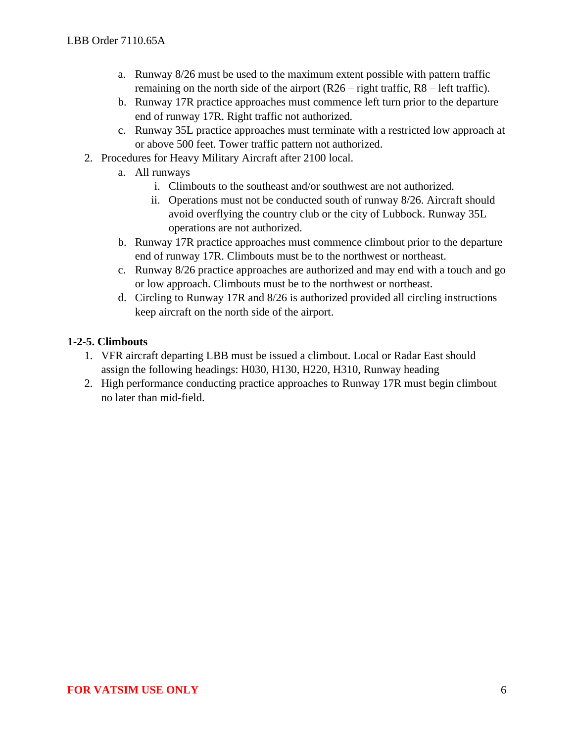- a. Runway 8/26 must be used to the maximum extent possible with pattern traffic remaining on the north side of the airport  $(R26 - right)$  traffic,  $R8 - left$  traffic).
- b. Runway 17R practice approaches must commence left turn prior to the departure end of runway 17R. Right traffic not authorized.
- c. Runway 35L practice approaches must terminate with a restricted low approach at or above 500 feet. Tower traffic pattern not authorized.
- 2. Procedures for Heavy Military Aircraft after 2100 local.
	- a. All runways
		- i. Climbouts to the southeast and/or southwest are not authorized.
		- ii. Operations must not be conducted south of runway 8/26. Aircraft should avoid overflying the country club or the city of Lubbock. Runway 35L operations are not authorized.
	- b. Runway 17R practice approaches must commence climbout prior to the departure end of runway 17R. Climbouts must be to the northwest or northeast.
	- c. Runway 8/26 practice approaches are authorized and may end with a touch and go or low approach. Climbouts must be to the northwest or northeast.
	- d. Circling to Runway 17R and 8/26 is authorized provided all circling instructions keep aircraft on the north side of the airport.

#### <span id="page-5-0"></span>**1-2-5. Climbouts**

- 1. VFR aircraft departing LBB must be issued a climbout. Local or Radar East should assign the following headings: H030, H130, H220, H310, Runway heading
- 2. High performance conducting practice approaches to Runway 17R must begin climbout no later than mid-field.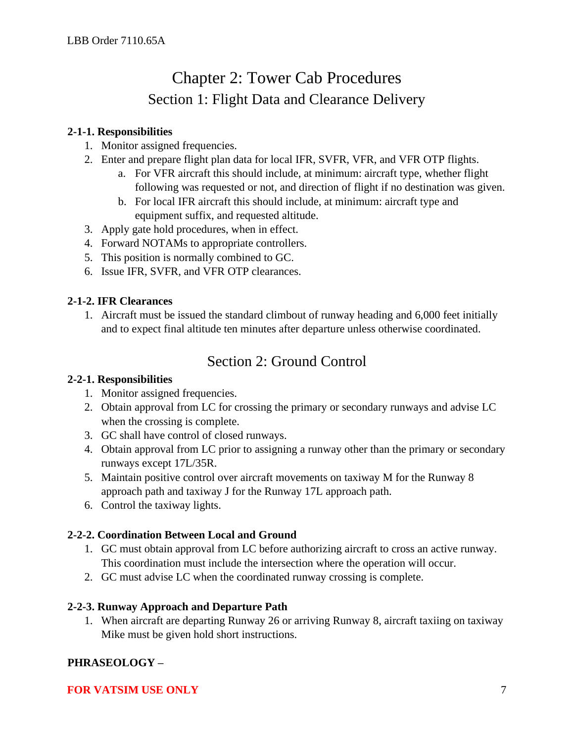## Chapter 2: Tower Cab Procedures Section 1: Flight Data and Clearance Delivery

#### <span id="page-6-2"></span><span id="page-6-1"></span><span id="page-6-0"></span>**2-1-1. Responsibilities**

- 1. Monitor assigned frequencies.
- 2. Enter and prepare flight plan data for local IFR, SVFR, VFR, and VFR OTP flights.
	- a. For VFR aircraft this should include, at minimum: aircraft type, whether flight following was requested or not, and direction of flight if no destination was given.
	- b. For local IFR aircraft this should include, at minimum: aircraft type and equipment suffix, and requested altitude.
- 3. Apply gate hold procedures, when in effect.
- 4. Forward NOTAMs to appropriate controllers.
- 5. This position is normally combined to GC.
- 6. Issue IFR, SVFR, and VFR OTP clearances.

#### <span id="page-6-3"></span>**2-1-2. IFR Clearances**

1. Aircraft must be issued the standard climbout of runway heading and 6,000 feet initially and to expect final altitude ten minutes after departure unless otherwise coordinated.

## Section 2: Ground Control

#### <span id="page-6-5"></span><span id="page-6-4"></span>**2-2-1. Responsibilities**

- 1. Monitor assigned frequencies.
- 2. Obtain approval from LC for crossing the primary or secondary runways and advise LC when the crossing is complete.
- 3. GC shall have control of closed runways.
- 4. Obtain approval from LC prior to assigning a runway other than the primary or secondary runways except 17L/35R.
- 5. Maintain positive control over aircraft movements on taxiway M for the Runway 8 approach path and taxiway J for the Runway 17L approach path.
- 6. Control the taxiway lights.

#### <span id="page-6-6"></span>**2-2-2. Coordination Between Local and Ground**

- 1. GC must obtain approval from LC before authorizing aircraft to cross an active runway. This coordination must include the intersection where the operation will occur.
- 2. GC must advise LC when the coordinated runway crossing is complete.

#### <span id="page-6-7"></span>**2-2-3. Runway Approach and Departure Path**

1. When aircraft are departing Runway 26 or arriving Runway 8, aircraft taxiing on taxiway Mike must be given hold short instructions.

#### **PHRASEOLOGY –**

**FOR VATSIM USE ONLY** 7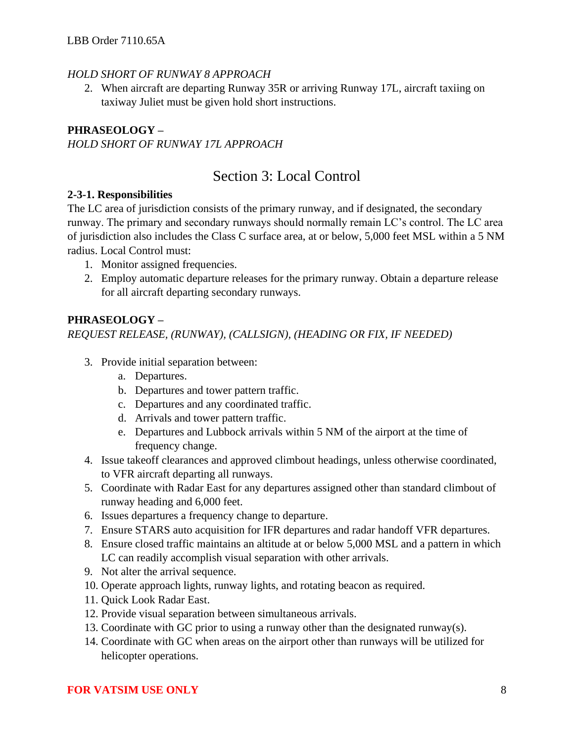#### *HOLD SHORT OF RUNWAY 8 APPROACH*

2. When aircraft are departing Runway 35R or arriving Runway 17L, aircraft taxiing on taxiway Juliet must be given hold short instructions.

#### **PHRASEOLOGY –**

*HOLD SHORT OF RUNWAY 17L APPROACH*

## Section 3: Local Control

#### <span id="page-7-1"></span><span id="page-7-0"></span>**2-3-1. Responsibilities**

The LC area of jurisdiction consists of the primary runway, and if designated, the secondary runway. The primary and secondary runways should normally remain LC's control. The LC area of jurisdiction also includes the Class C surface area, at or below, 5,000 feet MSL within a 5 NM radius. Local Control must:

- 1. Monitor assigned frequencies.
- 2. Employ automatic departure releases for the primary runway. Obtain a departure release for all aircraft departing secondary runways.

#### **PHRASEOLOGY –**

*REQUEST RELEASE, (RUNWAY), (CALLSIGN), (HEADING OR FIX, IF NEEDED)*

- 3. Provide initial separation between:
	- a. Departures.
	- b. Departures and tower pattern traffic.
	- c. Departures and any coordinated traffic.
	- d. Arrivals and tower pattern traffic.
	- e. Departures and Lubbock arrivals within 5 NM of the airport at the time of frequency change.
- 4. Issue takeoff clearances and approved climbout headings, unless otherwise coordinated, to VFR aircraft departing all runways.
- 5. Coordinate with Radar East for any departures assigned other than standard climbout of runway heading and 6,000 feet.
- 6. Issues departures a frequency change to departure.
- 7. Ensure STARS auto acquisition for IFR departures and radar handoff VFR departures.
- 8. Ensure closed traffic maintains an altitude at or below 5,000 MSL and a pattern in which LC can readily accomplish visual separation with other arrivals.
- 9. Not alter the arrival sequence.
- 10. Operate approach lights, runway lights, and rotating beacon as required.
- 11. Quick Look Radar East.
- 12. Provide visual separation between simultaneous arrivals.
- 13. Coordinate with GC prior to using a runway other than the designated runway(s).
- 14. Coordinate with GC when areas on the airport other than runways will be utilized for helicopter operations.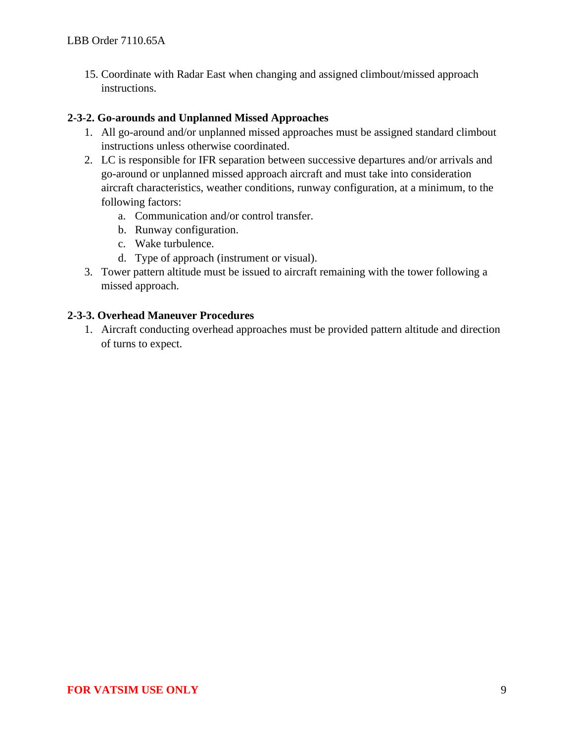15. Coordinate with Radar East when changing and assigned climbout/missed approach instructions.

#### <span id="page-8-0"></span>**2-3-2. Go-arounds and Unplanned Missed Approaches**

- 1. All go-around and/or unplanned missed approaches must be assigned standard climbout instructions unless otherwise coordinated.
- 2. LC is responsible for IFR separation between successive departures and/or arrivals and go-around or unplanned missed approach aircraft and must take into consideration aircraft characteristics, weather conditions, runway configuration, at a minimum, to the following factors:
	- a. Communication and/or control transfer.
	- b. Runway configuration.
	- c. Wake turbulence.
	- d. Type of approach (instrument or visual).
- 3. Tower pattern altitude must be issued to aircraft remaining with the tower following a missed approach.

#### <span id="page-8-1"></span>**2-3-3. Overhead Maneuver Procedures**

1. Aircraft conducting overhead approaches must be provided pattern altitude and direction of turns to expect.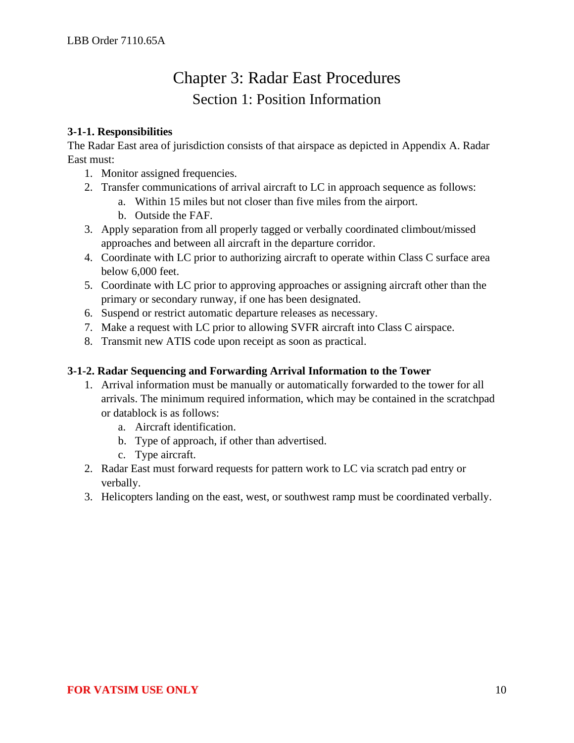## Chapter 3: Radar East Procedures Section 1: Position Information

#### <span id="page-9-2"></span><span id="page-9-1"></span><span id="page-9-0"></span>**3-1-1. Responsibilities**

The Radar East area of jurisdiction consists of that airspace as depicted in Appendix A. Radar East must:

- 1. Monitor assigned frequencies.
- 2. Transfer communications of arrival aircraft to LC in approach sequence as follows:
	- a. Within 15 miles but not closer than five miles from the airport.
	- b. Outside the FAF.
- 3. Apply separation from all properly tagged or verbally coordinated climbout/missed approaches and between all aircraft in the departure corridor.
- 4. Coordinate with LC prior to authorizing aircraft to operate within Class C surface area below 6,000 feet.
- 5. Coordinate with LC prior to approving approaches or assigning aircraft other than the primary or secondary runway, if one has been designated.
- 6. Suspend or restrict automatic departure releases as necessary.
- 7. Make a request with LC prior to allowing SVFR aircraft into Class C airspace.
- 8. Transmit new ATIS code upon receipt as soon as practical.

#### <span id="page-9-3"></span>**3-1-2. Radar Sequencing and Forwarding Arrival Information to the Tower**

- 1. Arrival information must be manually or automatically forwarded to the tower for all arrivals. The minimum required information, which may be contained in the scratchpad or datablock is as follows:
	- a. Aircraft identification.
	- b. Type of approach, if other than advertised.
	- c. Type aircraft.
- 2. Radar East must forward requests for pattern work to LC via scratch pad entry or verbally.
- 3. Helicopters landing on the east, west, or southwest ramp must be coordinated verbally.